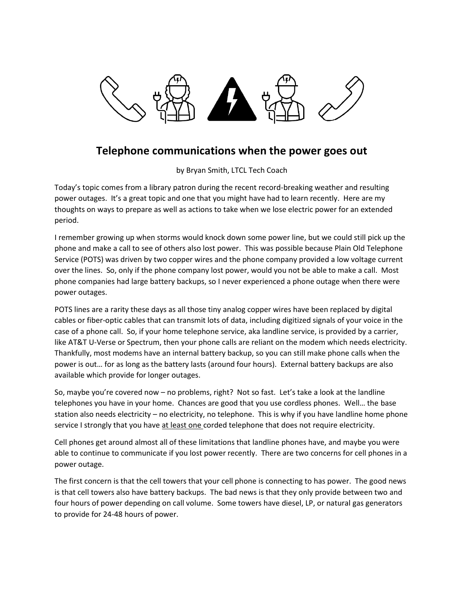

## **Telephone communications when the power goes out**

by Bryan Smith, LTCL Tech Coach

Today's topic comes from a library patron during the recent record-breaking weather and resulting power outages. It's a great topic and one that you might have had to learn recently. Here are my thoughts on ways to prepare as well as actions to take when we lose electric power for an extended period.

I remember growing up when storms would knock down some power line, but we could still pick up the phone and make a call to see of others also lost power. This was possible because Plain Old Telephone Service (POTS) was driven by two copper wires and the phone company provided a low voltage current over the lines. So, only if the phone company lost power, would you not be able to make a call. Most phone companies had large battery backups, so I never experienced a phone outage when there were power outages.

POTS lines are a rarity these days as all those tiny analog copper wires have been replaced by digital cables or fiber-optic cables that can transmit lots of data, including digitized signals of your voice in the case of a phone call. So, if your home telephone service, aka landline service, is provided by a carrier, like AT&T U-Verse or Spectrum, then your phone calls are reliant on the modem which needs electricity. Thankfully, most modems have an internal battery backup, so you can still make phone calls when the power is out… for as long as the battery lasts (around four hours). External battery backups are also available which provide for longer outages.

So, maybe you're covered now – no problems, right? Not so fast. Let's take a look at the landline telephones you have in your home. Chances are good that you use cordless phones. Well… the base station also needs electricity – no electricity, no telephone. This is why if you have landline home phone service I strongly that you have at least one corded telephone that does not require electricity.

Cell phones get around almost all of these limitations that landline phones have, and maybe you were able to continue to communicate if you lost power recently. There are two concerns for cell phones in a power outage.

The first concern is that the cell towers that your cell phone is connecting to has power. The good news is that cell towers also have battery backups. The bad news is that they only provide between two and four hours of power depending on call volume. Some towers have diesel, LP, or natural gas generators to provide for 24-48 hours of power.